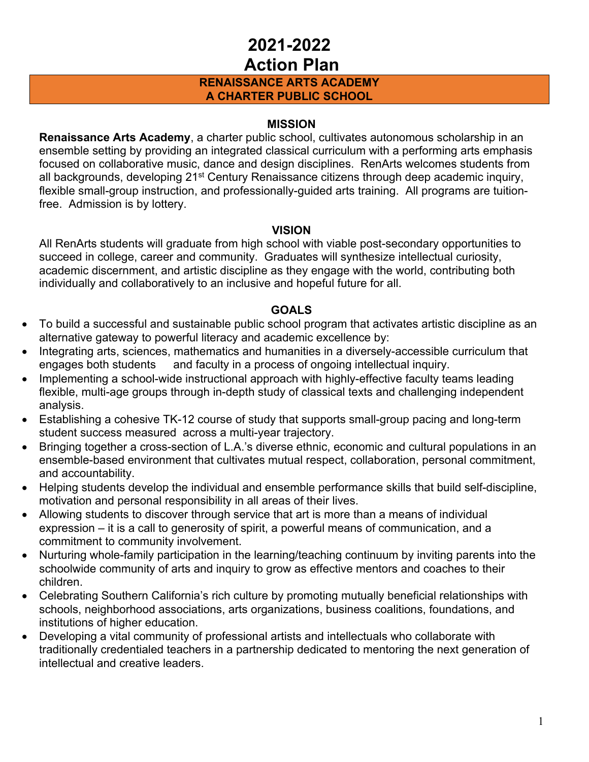### **RENAISSANCE ARTS ACADEMY A CHARTER PUBLIC SCHOOL**

#### **MISSION**

**Renaissance Arts Academy**, a charter public school, cultivates autonomous scholarship in an ensemble setting by providing an integrated classical curriculum with a performing arts emphasis focused on collaborative music, dance and design disciplines. RenArts welcomes students from all backgrounds, developing 21<sup>st</sup> Century Renaissance citizens through deep academic inquiry, flexible small-group instruction, and professionally-guided arts training. All programs are tuitionfree. Admission is by lottery.

#### **VISION**

All RenArts students will graduate from high school with viable post-secondary opportunities to succeed in college, career and community. Graduates will synthesize intellectual curiosity, academic discernment, and artistic discipline as they engage with the world, contributing both individually and collaboratively to an inclusive and hopeful future for all.

### **GOALS**

- To build a successful and sustainable public school program that activates artistic discipline as an alternative gateway to powerful literacy and academic excellence by:
- Integrating arts, sciences, mathematics and humanities in a diversely-accessible curriculum that engages both students and faculty in a process of ongoing intellectual inquiry.
- Implementing a school-wide instructional approach with highly-effective faculty teams leading flexible, multi-age groups through in-depth study of classical texts and challenging independent analysis.
- Establishing a cohesive TK-12 course of study that supports small-group pacing and long-term student success measured across a multi-year trajectory.
- Bringing together a cross-section of L.A.'s diverse ethnic, economic and cultural populations in an ensemble-based environment that cultivates mutual respect, collaboration, personal commitment, and accountability.
- Helping students develop the individual and ensemble performance skills that build self-discipline, motivation and personal responsibility in all areas of their lives.
- Allowing students to discover through service that art is more than a means of individual expression – it is a call to generosity of spirit, a powerful means of communication, and a commitment to community involvement.
- Nurturing whole-family participation in the learning/teaching continuum by inviting parents into the schoolwide community of arts and inquiry to grow as effective mentors and coaches to their children.
- Celebrating Southern California's rich culture by promoting mutually beneficial relationships with schools, neighborhood associations, arts organizations, business coalitions, foundations, and institutions of higher education.
- Developing a vital community of professional artists and intellectuals who collaborate with traditionally credentialed teachers in a partnership dedicated to mentoring the next generation of intellectual and creative leaders.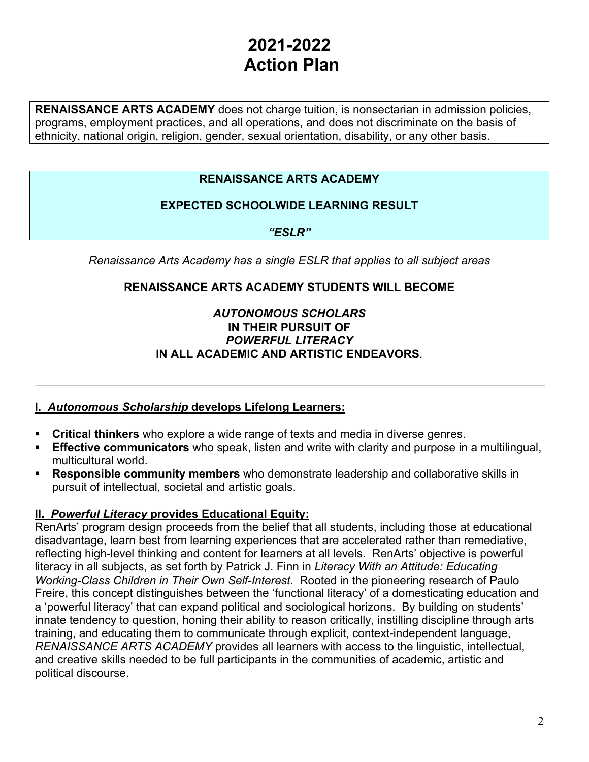**RENAISSANCE ARTS ACADEMY** does not charge tuition, is nonsectarian in admission policies, programs, employment practices, and all operations, and does not discriminate on the basis of ethnicity, national origin, religion, gender, sexual orientation, disability, or any other basis.

### **RENAISSANCE ARTS ACADEMY**

### **EXPECTED SCHOOLWIDE LEARNING RESULT**

*"ESLR"*

*Renaissance Arts Academy has a single ESLR that applies to all subject areas*

### **RENAISSANCE ARTS ACADEMY STUDENTS WILL BECOME**

#### *AUTONOMOUS SCHOLARS*  **IN THEIR PURSUIT OF**  *POWERFUL LITERACY* **IN ALL ACADEMIC AND ARTISTIC ENDEAVORS**.

### **I.** *Autonomous Scholarship* **develops Lifelong Learners:**

- **Critical thinkers** who explore a wide range of texts and media in diverse genres.
- **Effective communicators** who speak, listen and write with clarity and purpose in a multilingual, multicultural world.
- § **Responsible community members** who demonstrate leadership and collaborative skills in pursuit of intellectual, societal and artistic goals.

#### **II.** *Powerful Literacy* **provides Educational Equity:**

RenArts' program design proceeds from the belief that all students, including those at educational disadvantage, learn best from learning experiences that are accelerated rather than remediative, reflecting high-level thinking and content for learners at all levels. RenArts' objective is powerful literacy in all subjects, as set forth by Patrick J. Finn in *Literacy With an Attitude: Educating Working-Class Children in Their Own Self-Interest*. Rooted in the pioneering research of Paulo Freire, this concept distinguishes between the 'functional literacy' of a domesticating education and a 'powerful literacy' that can expand political and sociological horizons. By building on students' innate tendency to question, honing their ability to reason critically, instilling discipline through arts training, and educating them to communicate through explicit, context-independent language, *RENAISSANCE ARTS ACADEMY* provides all learners with access to the linguistic, intellectual, and creative skills needed to be full participants in the communities of academic, artistic and political discourse.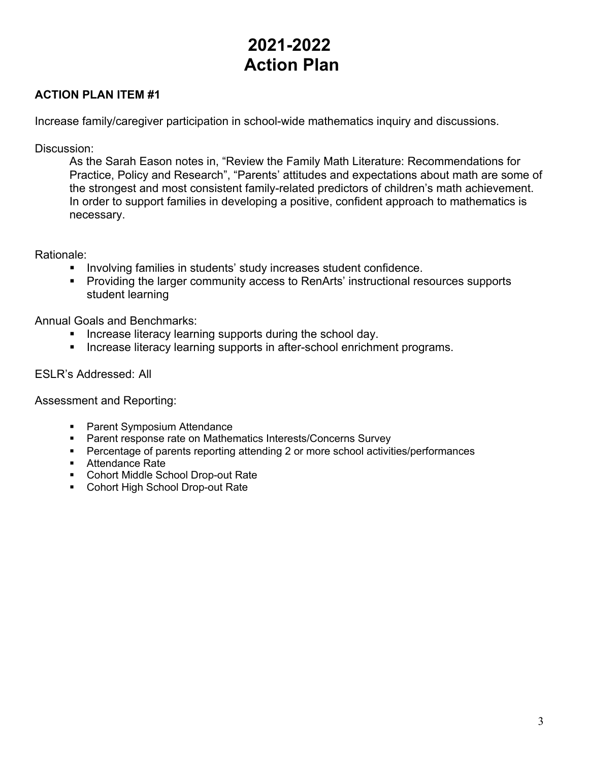### **ACTION PLAN ITEM #1**

Increase family/caregiver participation in school-wide mathematics inquiry and discussions.

Discussion:

As the Sarah Eason notes in, "Review the Family Math Literature: Recommendations for Practice, Policy and Research", "Parents' attitudes and expectations about math are some of the strongest and most consistent family-related predictors of children's math achievement. In order to support families in developing a positive, confident approach to mathematics is necessary.

#### Rationale:

- Involving families in students' study increases student confidence.
- Providing the larger community access to RenArts' instructional resources supports student learning

Annual Goals and Benchmarks:

- Increase literacy learning supports during the school day.
- Increase literacy learning supports in after-school enrichment programs.

### ESLR's Addressed: All

- Parent Symposium Attendance
- Parent response rate on Mathematics Interests/Concerns Survey
- Percentage of parents reporting attending 2 or more school activities/performances
- Attendance Rate
- Cohort Middle School Drop-out Rate
- Cohort High School Drop-out Rate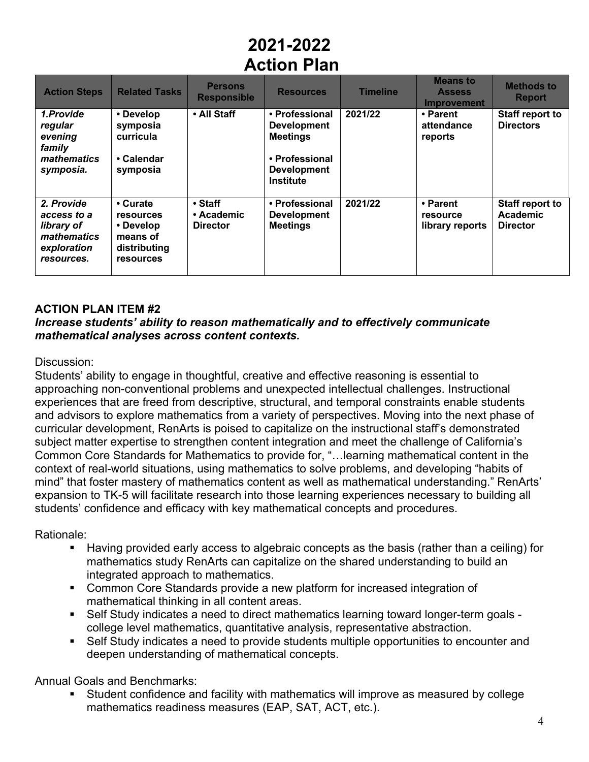| <b>Action Steps</b>                                                                 | <b>Related Tasks</b>                                                                      | <b>Persons</b><br><b>Responsible</b>           | <b>Resources</b>                                                                                                    | <b>Timeline</b> | <b>Means to</b><br><b>Assess</b><br><b>Improvement</b> | <b>Methods to</b><br><b>Report</b>             |
|-------------------------------------------------------------------------------------|-------------------------------------------------------------------------------------------|------------------------------------------------|---------------------------------------------------------------------------------------------------------------------|-----------------|--------------------------------------------------------|------------------------------------------------|
| 1.Provide<br>regular<br>evening<br>family<br>mathematics<br>symposia.               | • Develop<br>symposia<br>curricula<br>• Calendar<br>symposia                              | • All Staff                                    | • Professional<br><b>Development</b><br><b>Meetings</b><br>• Professional<br><b>Development</b><br><b>Institute</b> | 2021/22         | • Parent<br>attendance<br>reports                      | <b>Staff report to</b><br><b>Directors</b>     |
| 2. Provide<br>access to a<br>library of<br>mathematics<br>exploration<br>resources. | • Curate<br><b>resources</b><br>• Develop<br>means of<br>distributing<br><b>resources</b> | $\cdot$ Staff<br>• Academic<br><b>Director</b> | • Professional<br><b>Development</b><br><b>Meetings</b>                                                             | 2021/22         | • Parent<br>resource<br>library reports                | Staff report to<br>Academic<br><b>Director</b> |

### **ACTION PLAN ITEM #2**

### *Increase students' ability to reason mathematically and to effectively communicate mathematical analyses across content contexts.*

#### Discussion:

Students' ability to engage in thoughtful, creative and effective reasoning is essential to approaching non-conventional problems and unexpected intellectual challenges. Instructional experiences that are freed from descriptive, structural, and temporal constraints enable students and advisors to explore mathematics from a variety of perspectives. Moving into the next phase of curricular development, RenArts is poised to capitalize on the instructional staff's demonstrated subject matter expertise to strengthen content integration and meet the challenge of California's Common Core Standards for Mathematics to provide for, "…learning mathematical content in the context of real-world situations, using mathematics to solve problems, and developing "habits of mind" that foster mastery of mathematics content as well as mathematical understanding." RenArts' expansion to TK-5 will facilitate research into those learning experiences necessary to building all students' confidence and efficacy with key mathematical concepts and procedures.

#### Rationale:

- Having provided early access to algebraic concepts as the basis (rather than a ceiling) for mathematics study RenArts can capitalize on the shared understanding to build an integrated approach to mathematics.
- Common Core Standards provide a new platform for increased integration of mathematical thinking in all content areas.
- Self Study indicates a need to direct mathematics learning toward longer-term goals college level mathematics, quantitative analysis, representative abstraction.
- Self Study indicates a need to provide students multiple opportunities to encounter and deepen understanding of mathematical concepts.

Annual Goals and Benchmarks:

§ Student confidence and facility with mathematics will improve as measured by college mathematics readiness measures (EAP, SAT, ACT, etc.).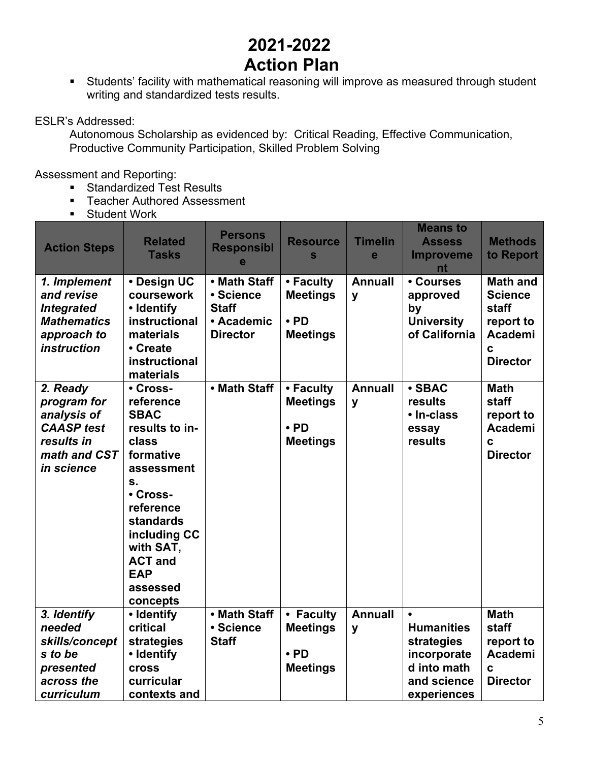■ Students' facility with mathematical reasoning will improve as measured through student writing and standardized tests results.

### ESLR's Addressed:

Autonomous Scholarship as evidenced by: Critical Reading, Effective Communication, Productive Community Participation, Skilled Problem Solving

- Standardized Test Results
- Teacher Authored Assessment
- § Student Work

| <b>Action Steps</b>                                                                                     | <b>Related</b><br><b>Tasks</b>                                                                                                                                                                                              | <b>Persons</b><br><b>Responsibl</b><br>e                                   | <b>Resource</b><br>S                                          | <b>Timelin</b><br>e | <b>Means to</b><br><b>Assess</b><br><b>Improveme</b>                                        | <b>Methods</b><br>to Report                                                    |
|---------------------------------------------------------------------------------------------------------|-----------------------------------------------------------------------------------------------------------------------------------------------------------------------------------------------------------------------------|----------------------------------------------------------------------------|---------------------------------------------------------------|---------------------|---------------------------------------------------------------------------------------------|--------------------------------------------------------------------------------|
| 1. Implement<br>and revise<br><b>Integrated</b><br><b>Mathematics</b><br>approach to                    | • Design UC<br>coursework<br>• Identify<br>instructional<br>materials                                                                                                                                                       | • Math Staff<br>• Science<br><b>Staff</b><br>• Academic<br><b>Director</b> | • Faculty<br><b>Meetings</b><br>$\cdot$ PD<br><b>Meetings</b> | <b>Annuall</b><br>y | nt<br>• Courses<br>approved<br>by<br><b>University</b><br>of California                     | <b>Math and</b><br><b>Science</b><br><b>staff</b><br>report to<br>Academi      |
| <i>instruction</i>                                                                                      | • Create<br>instructional<br>materials                                                                                                                                                                                      |                                                                            |                                                               |                     |                                                                                             | C<br><b>Director</b>                                                           |
| 2. Ready<br>program for<br>analysis of<br><b>CAASP</b> test<br>results in<br>math and CST<br>in science | • Cross-<br>reference<br><b>SBAC</b><br>results to in-<br>class<br>formative<br>assessment<br>S.<br>• Cross-<br>reference<br>standards<br>including CC<br>with SAT,<br><b>ACT and</b><br><b>EAP</b><br>assessed<br>concepts | • Math Staff                                                               | • Faculty<br><b>Meetings</b><br>$\cdot$ PD<br><b>Meetings</b> | <b>Annuall</b><br>y | · SBAC<br>results<br>• In-class<br>essay<br>results                                         | <b>Math</b><br><b>staff</b><br>report to<br>Academi<br>C.<br><b>Director</b>   |
| 3. Identify<br>needed<br>skills/concept<br>s to be<br>presented<br>across the<br>curriculum             | • Identify<br>critical<br>strategies<br>• Identify<br><b>cross</b><br>curricular<br>contexts and                                                                                                                            | • Math Staff<br>• Science<br><b>Staff</b>                                  | • Faculty<br><b>Meetings</b><br>$\cdot$ PD<br><b>Meetings</b> | <b>Annuall</b><br>y | <b>Humanities</b><br>strategies<br>incorporate<br>d into math<br>and science<br>experiences | <b>Math</b><br>staff<br>report to<br>Academi<br>$\mathbf c$<br><b>Director</b> |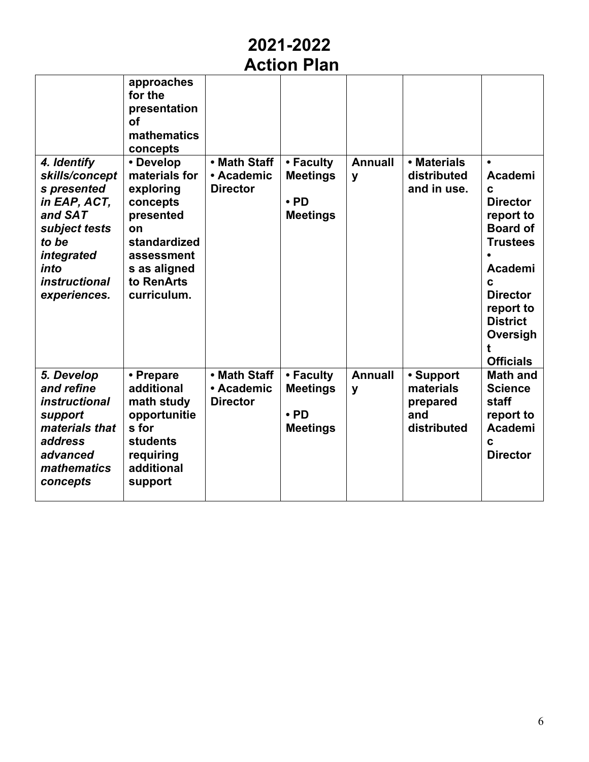# **2021-2022**

**Action Plan**

| 4. Identify<br>skills/concept<br>s presented                                                                                    | approaches<br>for the<br>presentation<br>of<br>mathematics<br>concepts<br>• Develop<br>materials for<br>exploring       | • Math Staff<br>• Academic<br><b>Director</b> | • Faculty<br><b>Meetings</b>                                  | <b>Annuall</b><br>y | • Materials<br>distributed<br>and in use.                | Academi<br>C                                                                                                                                                          |
|---------------------------------------------------------------------------------------------------------------------------------|-------------------------------------------------------------------------------------------------------------------------|-----------------------------------------------|---------------------------------------------------------------|---------------------|----------------------------------------------------------|-----------------------------------------------------------------------------------------------------------------------------------------------------------------------|
| in EAP, ACT,<br>and SAT<br>subject tests<br>to be<br>integrated<br>into<br><i>instructional</i><br>experiences.                 | concepts<br>presented<br>on<br>standardized<br>assessment<br>s as aligned<br>to RenArts<br>curriculum.                  |                                               | $\cdot$ PD<br><b>Meetings</b>                                 |                     |                                                          | <b>Director</b><br>report to<br><b>Board of</b><br><b>Trustees</b><br>Academi<br>C<br><b>Director</b><br>report to<br><b>District</b><br>Oversigh<br><b>Officials</b> |
| 5. Develop<br>and refine<br><i>instructional</i><br>support<br>materials that<br>address<br>advanced<br>mathematics<br>concepts | • Prepare<br>additional<br>math study<br>opportunitie<br>s for<br><b>students</b><br>requiring<br>additional<br>support | • Math Staff<br>• Academic<br><b>Director</b> | • Faculty<br><b>Meetings</b><br>$\cdot$ PD<br><b>Meetings</b> | <b>Annuall</b><br>y | • Support<br>materials<br>prepared<br>and<br>distributed | <b>Math and</b><br><b>Science</b><br>staff<br>report to<br>Academi<br>$\mathbf c$<br><b>Director</b>                                                                  |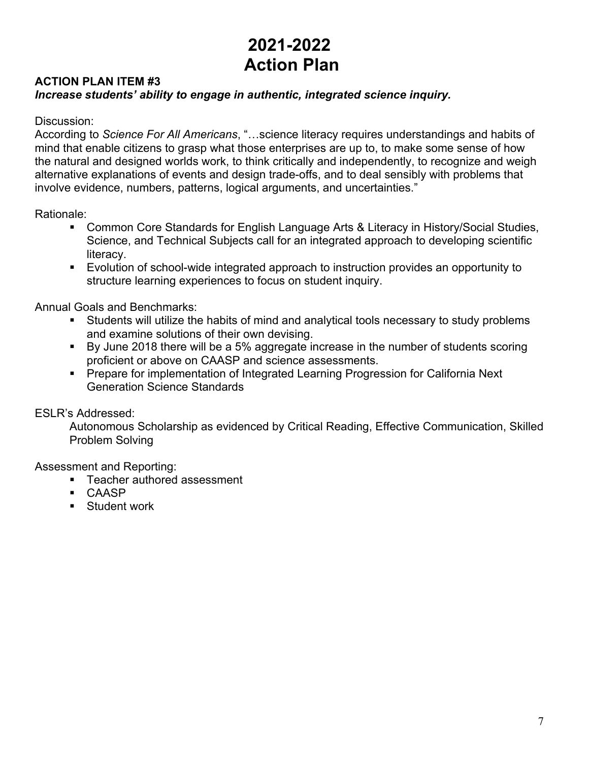### **ACTION PLAN ITEM #3** *Increase students' ability to engage in authentic, integrated science inquiry.*

#### Discussion:

According to *Science For All Americans*, "…science literacy requires understandings and habits of mind that enable citizens to grasp what those enterprises are up to, to make some sense of how the natural and designed worlds work, to think critically and independently, to recognize and weigh alternative explanations of events and design trade-offs, and to deal sensibly with problems that involve evidence, numbers, patterns, logical arguments, and uncertainties."

Rationale:

- Common Core Standards for English Language Arts & Literacy in History/Social Studies, Science, and Technical Subjects call for an integrated approach to developing scientific literacy.
- Evolution of school-wide integrated approach to instruction provides an opportunity to structure learning experiences to focus on student inquiry.

Annual Goals and Benchmarks:

- Students will utilize the habits of mind and analytical tools necessary to study problems and examine solutions of their own devising.
- By June 2018 there will be a 5% aggregate increase in the number of students scoring proficient or above on CAASP and science assessments.
- Prepare for implementation of Integrated Learning Progression for California Next Generation Science Standards

ESLR's Addressed:

Autonomous Scholarship as evidenced by Critical Reading, Effective Communication, Skilled Problem Solving

- Teacher authored assessment
- § CAASP
- § Student work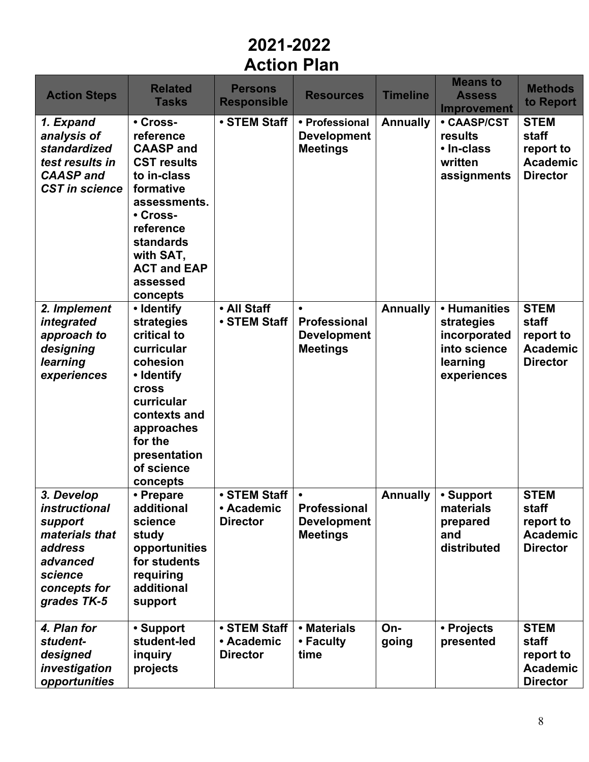| <b>Action Steps</b>                                                                                                              | <b>Related</b><br><b>Tasks</b>                                                                                                                                                                               | <b>Persons</b><br><b>Responsible</b>          | <b>Resources</b>                                                          | <b>Timeline</b> | <b>Means to</b><br><b>Assess</b><br><b>Improvement</b>                                | <b>Methods</b><br>to Report                                             |
|----------------------------------------------------------------------------------------------------------------------------------|--------------------------------------------------------------------------------------------------------------------------------------------------------------------------------------------------------------|-----------------------------------------------|---------------------------------------------------------------------------|-----------------|---------------------------------------------------------------------------------------|-------------------------------------------------------------------------|
| 1. Expand<br>analysis of<br>standardized<br>test results in<br><b>CAASP</b> and<br><b>CST in science</b>                         | • Cross-<br>reference<br><b>CAASP and</b><br><b>CST results</b><br>to in-class<br>formative<br>assessments.<br>• Cross-<br>reference<br>standards<br>with SAT,<br><b>ACT and EAP</b><br>assessed<br>concepts | • STEM Staff                                  | • Professional<br><b>Development</b><br><b>Meetings</b>                   | <b>Annually</b> | <b>• CAASP/CST</b><br>results<br>• In-class<br>written<br>assignments                 | <b>STEM</b><br>staff<br>report to<br><b>Academic</b><br><b>Director</b> |
| 2. Implement<br>integrated<br>approach to<br>designing<br>learning<br>experiences                                                | • Identify<br>strategies<br>critical to<br>curricular<br>cohesion<br>• Identify<br>cross<br>curricular<br>contexts and<br>approaches<br>for the<br>presentation<br>of science<br>concepts                    | • All Staff<br>• STEM Staff                   | $\bullet$<br>Professional<br><b>Development</b><br><b>Meetings</b>        | <b>Annually</b> | • Humanities<br>strategies<br>incorporated<br>into science<br>learning<br>experiences | <b>STEM</b><br>staff<br>report to<br><b>Academic</b><br><b>Director</b> |
| 3. Develop<br><i>instructional</i><br>support<br>materials that<br>address<br>advanced<br>science<br>concepts for<br>grades TK-5 | • Prepare<br>additional<br>science<br>study<br>opportunities<br>for students<br>requiring<br>additional<br>support                                                                                           | • STEM Staff<br>• Academic<br><b>Director</b> | $\bullet$<br><b>Professional</b><br><b>Development</b><br><b>Meetings</b> | <b>Annually</b> | • Support<br>materials<br>prepared<br>and<br>distributed                              | <b>STEM</b><br>staff<br>report to<br><b>Academic</b><br><b>Director</b> |
| 4. Plan for<br>student-<br>designed<br>investigation<br>opportunities                                                            | • Support<br>student-led<br>inquiry<br>projects                                                                                                                                                              | • STEM Staff<br>• Academic<br><b>Director</b> | • Materials<br>• Faculty<br>time                                          | On-<br>going    | • Projects<br>presented                                                               | <b>STEM</b><br>staff<br>report to<br><b>Academic</b><br><b>Director</b> |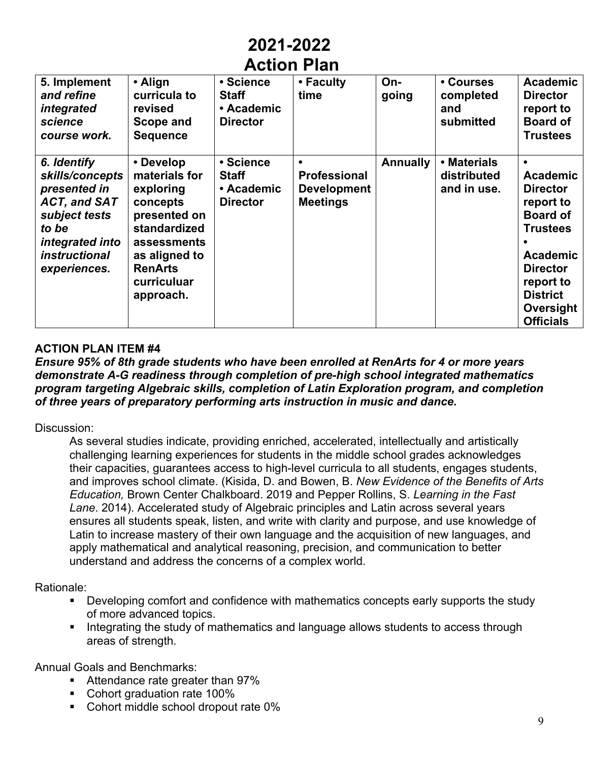| AVUVII LIAII                                                                                                                                               |                                                                                                                                                                   |                                                            |                                                                           |                 |                                            |                                                                                                                                                                                              |  |  |
|------------------------------------------------------------------------------------------------------------------------------------------------------------|-------------------------------------------------------------------------------------------------------------------------------------------------------------------|------------------------------------------------------------|---------------------------------------------------------------------------|-----------------|--------------------------------------------|----------------------------------------------------------------------------------------------------------------------------------------------------------------------------------------------|--|--|
| 5. Implement<br>and refine<br>integrated<br>science<br>course work.                                                                                        | • Align<br>curricula to<br>revised<br>Scope and<br><b>Sequence</b>                                                                                                | • Science<br><b>Staff</b><br>• Academic<br><b>Director</b> | • Faculty<br>time                                                         | On-<br>going    | • Courses<br>completed<br>and<br>submitted | <b>Academic</b><br><b>Director</b><br>report to<br><b>Board of</b><br><b>Trustees</b>                                                                                                        |  |  |
| 6. Identify<br>skills/concepts<br>presented in<br><b>ACT, and SAT</b><br>subject tests<br>to be<br>integrated into<br><i>instructional</i><br>experiences. | • Develop<br>materials for<br>exploring<br>concepts<br>presented on<br>standardized<br>assessments<br>as aligned to<br><b>RenArts</b><br>curriculuar<br>approach. | • Science<br><b>Staff</b><br>• Academic<br><b>Director</b> | $\bullet$<br><b>Professional</b><br><b>Development</b><br><b>Meetings</b> | <b>Annually</b> | • Materials<br>distributed<br>and in use.  | <b>Academic</b><br><b>Director</b><br>report to<br><b>Board of</b><br><b>Trustees</b><br><b>Academic</b><br><b>Director</b><br>report to<br><b>District</b><br>Oversight<br><b>Officials</b> |  |  |

### **ACTION PLAN ITEM #4**

#### *Ensure 95% of 8th grade students who have been enrolled at RenArts for 4 or more years demonstrate A-G readiness through completion of pre-high school integrated mathematics program targeting Algebraic skills, completion of Latin Exploration program, and completion of three years of preparatory performing arts instruction in music and dance.*

#### Discussion:

As several studies indicate, providing enriched, accelerated, intellectually and artistically challenging learning experiences for students in the middle school grades acknowledges their capacities, guarantees access to high-level curricula to all students, engages students, and improves school climate. (Kisida, D. and Bowen, B. *New Evidence of the Benefits of Arts Education,* Brown Center Chalkboard. 2019 and Pepper Rollins, S. *Learning in the Fast Lane*. 2014). Accelerated study of Algebraic principles and Latin across several years ensures all students speak, listen, and write with clarity and purpose, and use knowledge of Latin to increase mastery of their own language and the acquisition of new languages, and apply mathematical and analytical reasoning, precision, and communication to better understand and address the concerns of a complex world.

Rationale:

- Developing comfort and confidence with mathematics concepts early supports the study of more advanced topics.
- Integrating the study of mathematics and language allows students to access through areas of strength.

Annual Goals and Benchmarks:

- Attendance rate greater than 97%
- Cohort graduation rate 100%
- Cohort middle school dropout rate 0%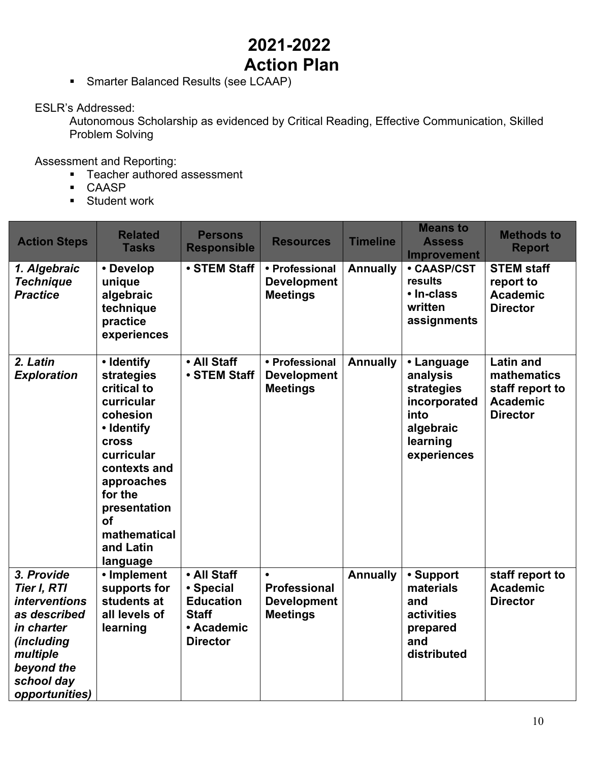■ Smarter Balanced Results (see LCAAP)

ESLR's Addressed:

Autonomous Scholarship as evidenced by Critical Reading, Effective Communication, Skilled Problem Solving

- Teacher authored assessment
- § CAASP
- Student work

| <b>Action Steps</b>                                                                                                                                            | <b>Related</b><br><b>Tasks</b>                                                                                                                                                                                        | <b>Persons</b><br><b>Responsible</b>                                                          | <b>Resources</b>                                                          | <b>Timeline</b> | <b>Means to</b><br><b>Assess</b><br><b>Improvement</b>                                               | <b>Methods to</b><br><b>Report</b>                                                              |
|----------------------------------------------------------------------------------------------------------------------------------------------------------------|-----------------------------------------------------------------------------------------------------------------------------------------------------------------------------------------------------------------------|-----------------------------------------------------------------------------------------------|---------------------------------------------------------------------------|-----------------|------------------------------------------------------------------------------------------------------|-------------------------------------------------------------------------------------------------|
| 1. Algebraic<br><b>Technique</b><br><b>Practice</b>                                                                                                            | • Develop<br>unique<br>algebraic<br>technique<br>practice<br>experiences                                                                                                                                              | • STEM Staff                                                                                  | • Professional<br><b>Development</b><br><b>Meetings</b>                   | <b>Annually</b> | • CAASP/CST<br>results<br>• In-class<br>written<br>assignments                                       | <b>STEM staff</b><br>report to<br><b>Academic</b><br><b>Director</b>                            |
| 2. Latin<br><b>Exploration</b>                                                                                                                                 | • Identify<br>strategies<br>critical to<br>curricular<br>cohesion<br>• Identify<br><b>Cross</b><br>curricular<br>contexts and<br>approaches<br>for the<br>presentation<br>of<br>mathematical<br>and Latin<br>language | • All Staff<br>• STEM Staff                                                                   | • Professional<br><b>Development</b><br><b>Meetings</b>                   | <b>Annually</b> | • Language<br>analysis<br>strategies<br>incorporated<br>into<br>algebraic<br>learning<br>experiences | <b>Latin and</b><br><b>mathematics</b><br>staff report to<br><b>Academic</b><br><b>Director</b> |
| 3. Provide<br>Tier I, RTI<br><i>interventions</i><br>as described<br>in charter<br><i>(including</i><br>multiple<br>beyond the<br>school day<br>opportunities) | • Implement<br>supports for<br>students at<br>all levels of<br>learning                                                                                                                                               | • All Staff<br>• Special<br><b>Education</b><br><b>Staff</b><br>• Academic<br><b>Director</b> | $\bullet$<br><b>Professional</b><br><b>Development</b><br><b>Meetings</b> | <b>Annually</b> | • Support<br>materials<br>and<br>activities<br>prepared<br>and<br>distributed                        | staff report to<br><b>Academic</b><br><b>Director</b>                                           |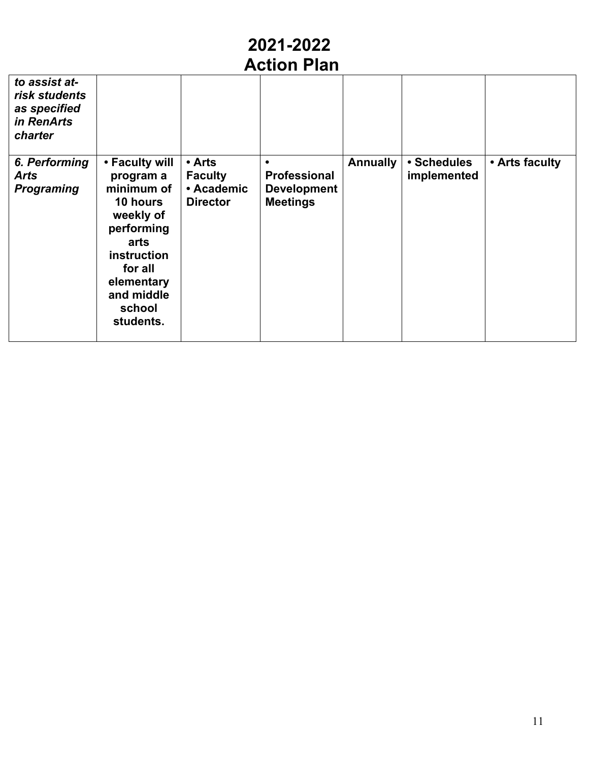| to assist at-<br>risk students<br>as specified<br>in RenArts<br>charter |                                                                                                                                                                       |                                                           |                                                              |          |                            |                |
|-------------------------------------------------------------------------|-----------------------------------------------------------------------------------------------------------------------------------------------------------------------|-----------------------------------------------------------|--------------------------------------------------------------|----------|----------------------------|----------------|
| 6. Performing<br><b>Arts</b><br><b>Programing</b>                       | • Faculty will<br>program a<br>minimum of<br>10 hours<br>weekly of<br>performing<br>arts<br>instruction<br>for all<br>elementary<br>and middle<br>school<br>students. | • Arts<br><b>Faculty</b><br>• Academic<br><b>Director</b> | <b>Professional</b><br><b>Development</b><br><b>Meetings</b> | Annually | • Schedules<br>implemented | • Arts faculty |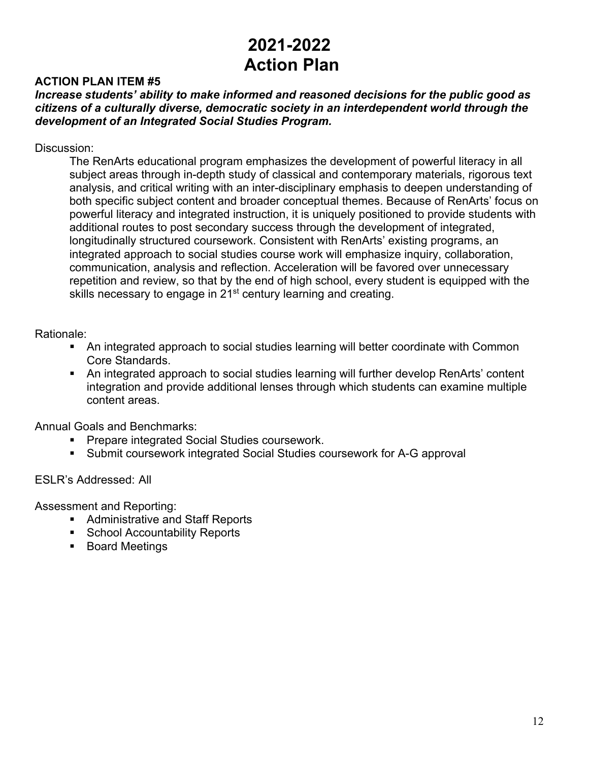### **ACTION PLAN ITEM #5**

*Increase students' ability to make informed and reasoned decisions for the public good as citizens of a culturally diverse, democratic society in an interdependent world through the development of an Integrated Social Studies Program.*

Discussion:

The RenArts educational program emphasizes the development of powerful literacy in all subject areas through in-depth study of classical and contemporary materials, rigorous text analysis, and critical writing with an inter-disciplinary emphasis to deepen understanding of both specific subject content and broader conceptual themes. Because of RenArts' focus on powerful literacy and integrated instruction, it is uniquely positioned to provide students with additional routes to post secondary success through the development of integrated, longitudinally structured coursework. Consistent with RenArts' existing programs, an integrated approach to social studies course work will emphasize inquiry, collaboration, communication, analysis and reflection. Acceleration will be favored over unnecessary repetition and review, so that by the end of high school, every student is equipped with the skills necessary to engage in 21<sup>st</sup> century learning and creating.

#### Rationale:

- An integrated approach to social studies learning will better coordinate with Common Core Standards.
- An integrated approach to social studies learning will further develop RenArts' content integration and provide additional lenses through which students can examine multiple content areas.

Annual Goals and Benchmarks:

- Prepare integrated Social Studies coursework.
- Submit coursework integrated Social Studies coursework for A-G approval

ESLR's Addressed: All

- Administrative and Staff Reports
- School Accountability Reports
- Board Meetings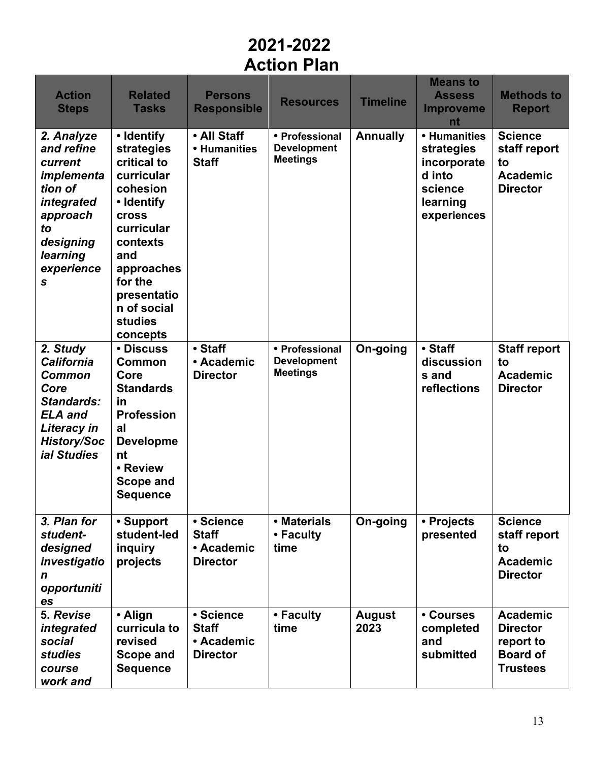| <b>Action</b><br><b>Steps</b>                                                                                                                            | <b>Related</b><br><b>Tasks</b>                                                                                                                                                                                 | <b>Persons</b><br><b>Responsible</b>                       | <b>Resources</b>                                        | <b>Timeline</b>       | <b>Means to</b><br><b>Assess</b><br><b>Improveme</b><br>nt                                | <b>Methods to</b><br><b>Report</b>                                                    |
|----------------------------------------------------------------------------------------------------------------------------------------------------------|----------------------------------------------------------------------------------------------------------------------------------------------------------------------------------------------------------------|------------------------------------------------------------|---------------------------------------------------------|-----------------------|-------------------------------------------------------------------------------------------|---------------------------------------------------------------------------------------|
| 2. Analyze<br>and refine<br>current<br>implementa<br>tion of<br>integrated<br>approach<br>to<br>designing<br>learning<br>experience<br>S                 | • Identify<br>strategies<br>critical to<br>curricular<br>cohesion<br>• Identify<br><b>cross</b><br>curricular<br>contexts<br>and<br>approaches<br>for the<br>presentatio<br>n of social<br>studies<br>concepts | • All Staff<br>• Humanities<br><b>Staff</b>                | • Professional<br><b>Development</b><br><b>Meetings</b> | <b>Annually</b>       | • Humanities<br>strategies<br>incorporate<br>d into<br>science<br>learning<br>experiences | <b>Science</b><br>staff report<br>to<br><b>Academic</b><br><b>Director</b>            |
| 2. Study<br><b>California</b><br><b>Common</b><br>Core<br><b>Standards:</b><br><b>ELA</b> and<br>Literacy in<br><b>History/Soc</b><br><b>ial Studies</b> | • Discuss<br><b>Common</b><br>Core<br><b>Standards</b><br>in<br><b>Profession</b><br>al<br><b>Developme</b><br>nt<br>• Review<br>Scope and<br><b>Sequence</b>                                                  | • Staff<br>• Academic<br><b>Director</b>                   | • Professional<br><b>Development</b><br><b>Meetings</b> | On-going              | • Staff<br>discussion<br>s and<br>reflections                                             | <b>Staff report</b><br>to<br><b>Academic</b><br><b>Director</b>                       |
| 3. Plan for<br>student-<br>designed<br>investigatio<br>n<br>opportuniti<br>es                                                                            | • Support<br>student-led<br>inquiry<br>projects                                                                                                                                                                | • Science<br><b>Staff</b><br>• Academic<br><b>Director</b> | • Materials<br>• Faculty<br>time                        | On-going              | • Projects<br>presented                                                                   | <b>Science</b><br>staff report<br>to<br><b>Academic</b><br><b>Director</b>            |
| 5. Revise<br>integrated<br>social<br><b>studies</b><br>course<br>work and                                                                                | • Align<br>curricula to<br>revised<br>Scope and<br><b>Sequence</b>                                                                                                                                             | • Science<br><b>Staff</b><br>• Academic<br><b>Director</b> | • Faculty<br>time                                       | <b>August</b><br>2023 | • Courses<br>completed<br>and<br>submitted                                                | <b>Academic</b><br><b>Director</b><br>report to<br><b>Board of</b><br><b>Trustees</b> |